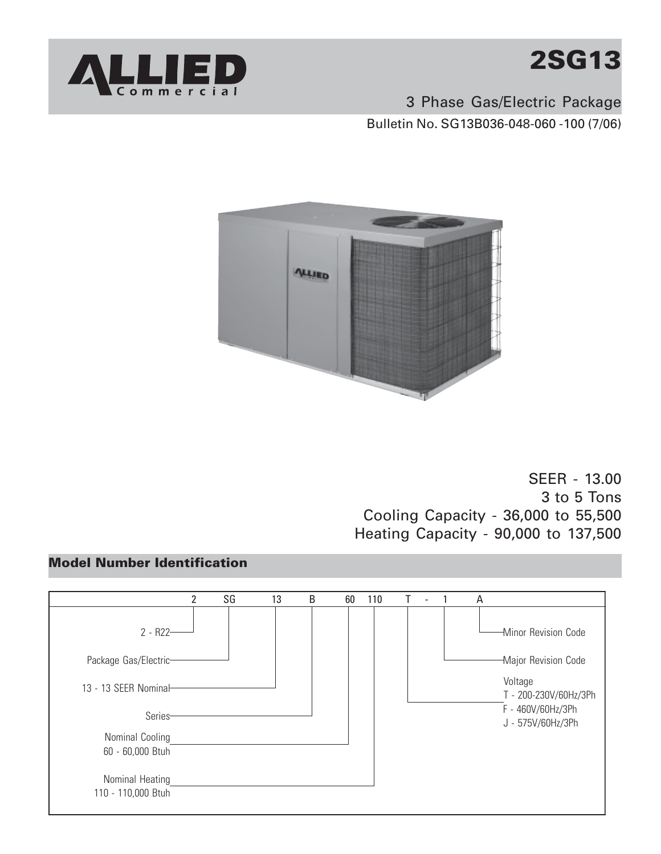



3 Phase Gas/Electric Package Bulletin No. SG13B036-048-060 -100 (7/06)



SEER - 13.00 3 to 5 Tons Cooling Capacity - 36,000 to 55,500 Heating Capacity - 90,000 to 137,500

#### **Model Number Identification**

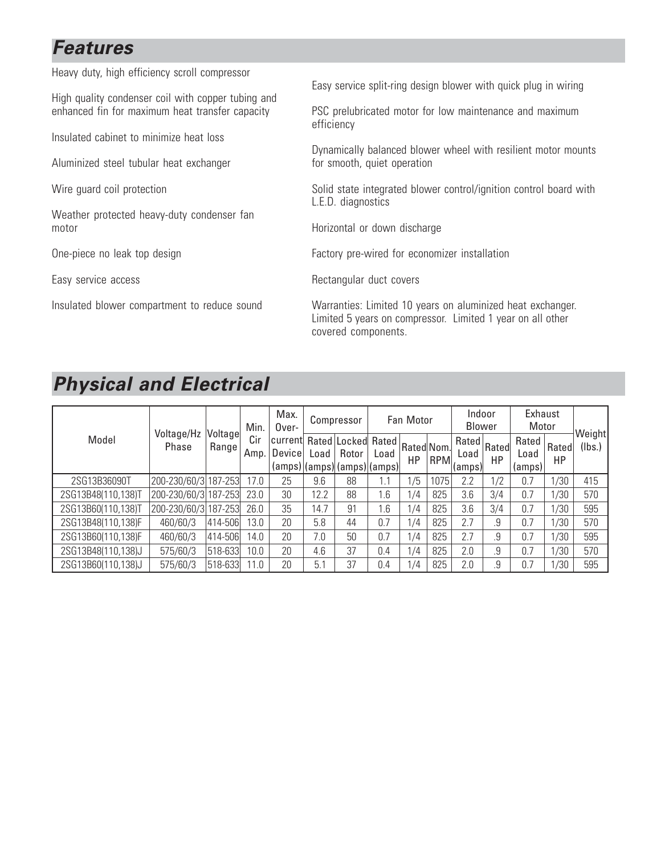#### **Features**

Heavy duty, high efficiency scroll compressor

High quality condenser coil with copper tubing and enhanced fin for maximum heat transfer capacity

Insulated cabinet to minimize heat loss

Aluminized steel tubular heat exchanger

Wire guard coil protection

Weather protected heavy-duty condenser fan motor

One-piece no leak top design

Easy service access

Insulated blower compartment to reduce sound

Easy service split-ring design blower with quick plug in wiring

PSC prelubricated motor for low maintenance and maximum efficiency

Dynamically balanced blower wheel with resilient motor mounts for smooth, quiet operation

Solid state integrated blower control/ignition control board with L.E.D. diagnostics

Horizontal or down discharge

Factory pre-wired for economizer installation

Rectangular duct covers

Warranties: Limited 10 years on aluminized heat exchanger. Limited 5 years on compressor. Limited 1 year on all other covered components.

#### **Physical and Electrical**

|                    | Voltage/Hz           |                   | Max.<br>Min.<br>Over- |                   |        | Compressor                                           |               | Fan Motor        |            | Indoor<br><b>Blower</b>                |     | Exhaust<br>Motor                |             |                  |
|--------------------|----------------------|-------------------|-----------------------|-------------------|--------|------------------------------------------------------|---------------|------------------|------------|----------------------------------------|-----|---------------------------------|-------------|------------------|
| Model<br>Phase     |                      | Voltage<br>Rangel | Cir<br>Amp.           | current<br>Device | Load I | Rated Locked<br>Rotor<br>(amps) (amps) (amps) (amps) | Rated<br>Load | Rated Nom.<br>HP | <b>RPM</b> | $\sqrt{Rated}$ Rated<br>Load<br>(amps) | HP  | Rated<br>Load<br>${\rm (amps)}$ | Rated<br>HP | Weight<br>(lbs.) |
| 2SG13B36090T       | 200-230/60/3 187-253 |                   | 17.0                  | 25                | 9.6    | 88                                                   | 1.1           | /5               | 1075       | 2.2                                    | 1/2 | 0.7                             | 1/30        | 415              |
| 2SG13B48(110,138)T | 200-230/60/3 187-253 |                   | 23.0                  | 30                | 12.2   | 88                                                   | 1.6           | 1/4              | 825        | 3.6                                    | 3/4 | 0.7                             | 1/30        | 570              |
| 2SG13B60(110,138)T | 200-230/60/3 187-253 |                   | 26.0                  | 35                | 14.7   | 91                                                   | 1.6           | 1/4              | 825        | 3.6                                    | 3/4 | 0.7                             | 1/30        | 595              |
| 2SG13B48(110,138)F | 460/60/3             | 414-506           | 3.0                   | 20                | 5.8    | 44                                                   | 0.7           | 1/4              | 825        | 2.7                                    | .9  | 0.7                             | 1/30        | 570              |
| 2SG13B60(110,138)F | 460/60/3             | 414-506           | l 4.0                 | 20                | 7.0    | 50                                                   | 0.7           | 1/4              | 825        | 2.7                                    | .9  | 0.7                             | 1/30        | 595              |
| 2SG13B48(110,138)J | 575/60/3             | 518-633           | 10.0                  | 20                | 4.6    | 37                                                   | 0.4           | 1/4              | 825        | 2.0                                    | .9  | 0.7                             | 1/30        | 570              |
| 2SG13B60(110,138)J | 575/60/3             | 518-633           | 1.0                   | 20                | 5.1    | 37                                                   | 0.4           | 1/4              | 825        | 2.0                                    | .9  | 0.7                             | 1/30        | 595              |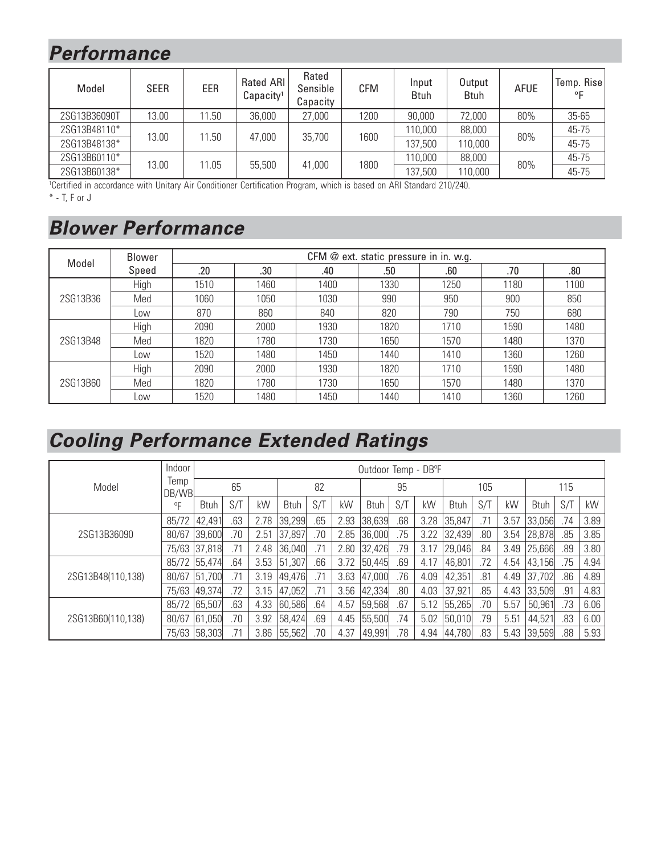## Performance

| Model        | <b>SEER</b> | EER   | <b>Rated ARI</b><br>Capacity <sup>1</sup> | Rated<br>Sensible<br>Capacity | <b>CFM</b> | Input<br><b>Btuh</b> | Output<br><b>Btuh</b> | <b>AFUE</b> | Temp. Rise<br>ᅂ |
|--------------|-------------|-------|-------------------------------------------|-------------------------------|------------|----------------------|-----------------------|-------------|-----------------|
| 2SG13B36090T | 13.00       | 11.50 | 36,000                                    | 27,000                        | 1200       | 90,000               | 72,000                | 80%         | $35 - 65$       |
| 2SG13B48110* | 13.00       | 11.50 | 47,000                                    | 35,700                        | 1600       | 110,000              | 88,000                |             | 45-75           |
| 2SG13B48138* |             |       |                                           |                               |            | 137,500              | 110,000               | 80%         | 45-75           |
| 2SG13B60110* |             | 11.05 | 55,500                                    | 41,000                        | 1800       | 110,000              | 88,000                | 80%         | 45-75           |
| 2SG13B60138* | 13.00       |       |                                           |                               |            | 137,500              | 10,000                |             | 45-75           |

<sup>1</sup>Certified in accordance with Unitary Air Conditioner Certification Program, which is based on ARI Standard 210/240.

 $*$  - T, F or J

## **Blower Performance**

| Model    | Blower | CFM @ ext. static pressure in in. w.g. |      |      |      |      |      |      |  |  |  |  |
|----------|--------|----------------------------------------|------|------|------|------|------|------|--|--|--|--|
|          | Speed  | .20                                    | .30  | .40  | .50  | .60  | .70  | .80  |  |  |  |  |
|          | High   | 1510                                   | 1460 | 1400 | 1330 | 1250 | 1180 | 1100 |  |  |  |  |
| 2SG13B36 | Med    | 1060                                   | 1050 | 1030 | 990  | 950  | 900  | 850  |  |  |  |  |
|          | Low    | 870                                    | 860  | 840  | 820  | 790  | 750  | 680  |  |  |  |  |
|          | High   | 2090                                   | 2000 | 1930 | 1820 | 1710 | 1590 | 1480 |  |  |  |  |
| 2SG13B48 | Med    | 1820                                   | 1780 | 1730 | 1650 | 1570 | 1480 | 1370 |  |  |  |  |
|          | Low    | 1520                                   | 1480 | 1450 | 1440 | 1410 | 1360 | 1260 |  |  |  |  |
|          | High   | 2090                                   | 2000 | 1930 | 1820 | 1710 | 1590 | 1480 |  |  |  |  |
| 2SG13B60 | Med    | 1820                                   | 1780 | 1730 | 1650 | 1570 | 1480 | 1370 |  |  |  |  |
|          | Low    | 1520                                   | 1480 | 1450 | 1440 | 1410 | 1360 | 1260 |  |  |  |  |

# **Cooling Performance Extended Ratings**

|                   | Indoor        |              | Outdoor Temp - DB°F |      |             |     |      |             |     |      |             |     |      |             |     |      |  |
|-------------------|---------------|--------------|---------------------|------|-------------|-----|------|-------------|-----|------|-------------|-----|------|-------------|-----|------|--|
| Model             | Temp<br>DB/WB |              | 65                  |      |             | 82  |      |             | 95  |      |             | 105 |      |             | 115 |      |  |
|                   | $^0$ F        | <b>Btuh</b>  | S/T                 | kW   | <b>Btuh</b> | S/T | kW   | <b>Btuh</b> | S/T | kW   | <b>Btuh</b> | S/T | kW   | <b>Btuh</b> | S/T | kW   |  |
|                   | 85/72         | 42,491       | .63                 | 2.78 | 39,299      | .65 | 2.93 | 38,639      | .68 | 3.28 | 35,847      | .71 | 3.57 | 33,056      | .74 | 3.89 |  |
| 2SG13B36090       | 80/67         | 39,600       | .70                 | 2.51 | 37,897      | .70 | 2.85 | 36,000      | .75 | 3.22 | 32,439      | .80 | 3.54 | 28,878      | .85 | 3.85 |  |
|                   | 75/63         | 37,818       | .71                 | 2.48 | 36,040      | .71 | 2.80 | 32,426      | .79 | 3.17 | 29,046      | .84 | 3.49 | 25,666      | .89 | 3.80 |  |
|                   |               | 85/72 55,474 | .64                 | 3.53 | 51,307      | .66 | 3.72 | 50,445      | .69 | 4.17 | 46,801      | .72 | 4.54 | 43,156      | .75 | 4.94 |  |
| 2SG13B48(110,138) | 80/67         | 51,700       | .71                 | 3.19 | 49,476      | .71 | 3.63 | 47,000      | .76 | 4.09 | 42,351      | .81 | 4.49 | 37,702      | .86 | 4.89 |  |
|                   | 75/63         | 49,374       | .72                 | 3.15 | 47,052      | .71 | 3.56 | 42,334      | .80 | 4.03 | 37,921      | .85 | 4.43 | 33,509      | .91 | 4.83 |  |
|                   |               | 85/72 65,507 | .63                 | 4.33 | 60,586      | .64 | 4.57 | 59,568      | .67 | 5.12 | 55,265      | .70 | 5.57 | 50,961      | .73 | 6.06 |  |
| 2SG13B60(110,138) | 80/67         | 61,050       | .70                 | 3.92 | 58,424      | .69 | 4.45 | 55,500      | .74 | 5.02 | 50,010      | .79 | 5.51 | 44,521      | .83 | 6.00 |  |
|                   |               | 75/63 58,303 |                     | 3.86 | 55,562      | .70 | 4.37 | 49,991      | .78 | 4.94 | 44,780      | .83 | 5.43 | 39,569      | .88 | 5.93 |  |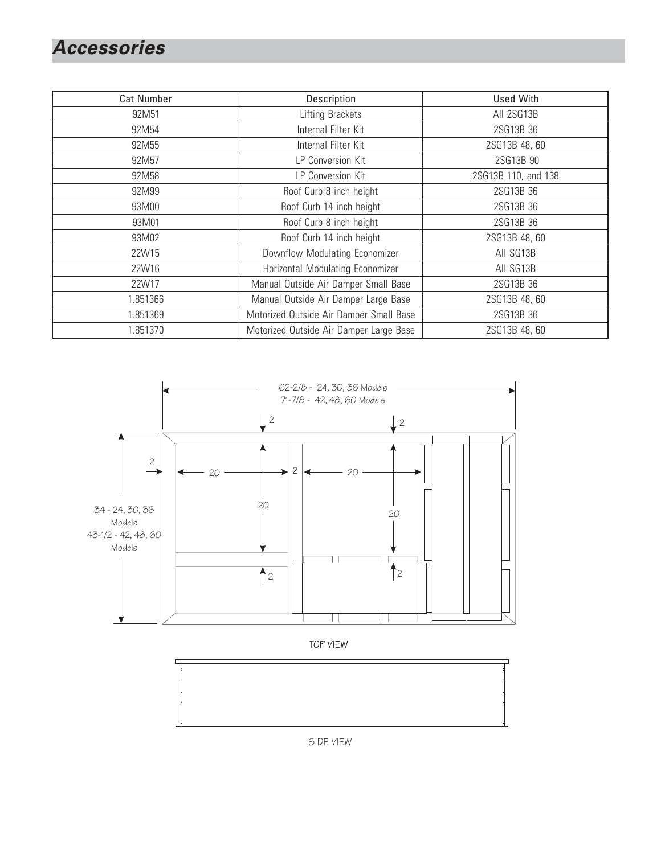### **Accessories**

| <b>Cat Number</b> | Description                             | <b>Used With</b>    |
|-------------------|-----------------------------------------|---------------------|
| 92M51             | <b>Lifting Brackets</b>                 | All 2SG13B          |
| 92M54             | Internal Filter Kit                     | 2SG13B 36           |
| 92M55             | Internal Filter Kit                     | 2SG13B 48, 60       |
| 92M57             | LP Conversion Kit                       | 2SG13B 90           |
| 92M58             | LP Conversion Kit                       | 2SG13B 110, and 138 |
| 92M99             | Roof Curb 8 inch height                 | 2SG13B 36           |
| 93M00             | Roof Curb 14 inch height                | 2SG13B 36           |
| 93M01             | Roof Curb 8 inch height                 | 2SG13B 36           |
| 93M02             | Roof Curb 14 inch height                | 2SG13B 48, 60       |
| 22W15             | Downflow Modulating Economizer          | All SG13B           |
| 22W16             | Horizontal Modulating Economizer        | All SG13B           |
| 22W17             | Manual Outside Air Damper Small Base    | 2SG13B 36           |
| 1.851366          | Manual Outside Air Damper Large Base    | 2SG13B 48, 60       |
| 1.851369          | Motorized Outside Air Damper Small Base | 2SG13B 36           |
| 1.851370          | Motorized Outside Air Damper Large Base | 2SG13B 48, 60       |

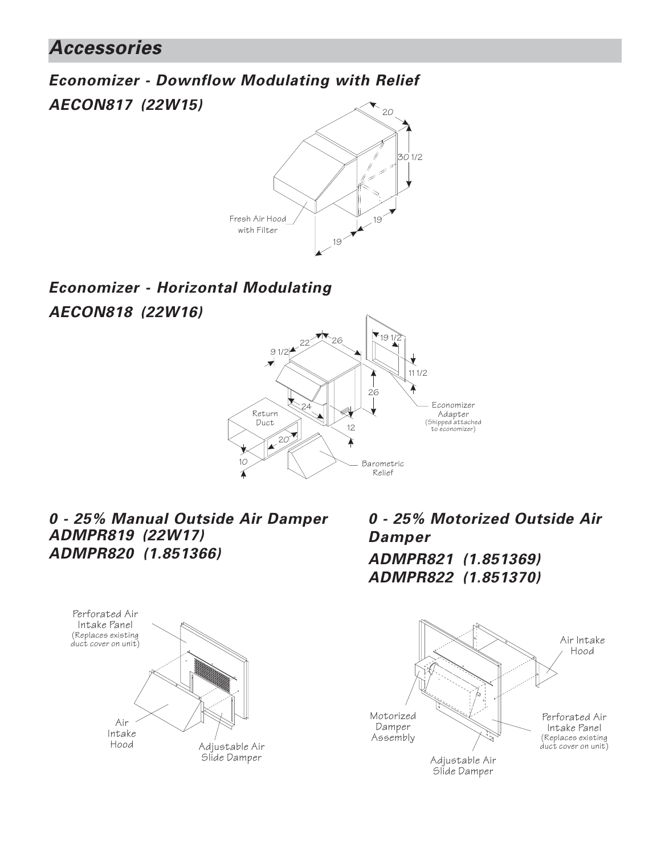20 **Economizer - Downflow Modulating with Relief AECON817 (22W15)**



#### **Economizer - Horizontal Modulating AECON818 (22W16)**



#### **0 - 25% Manual Outside Air Damper ADMPR819 (22W17) ADMPR820 (1.851366)**